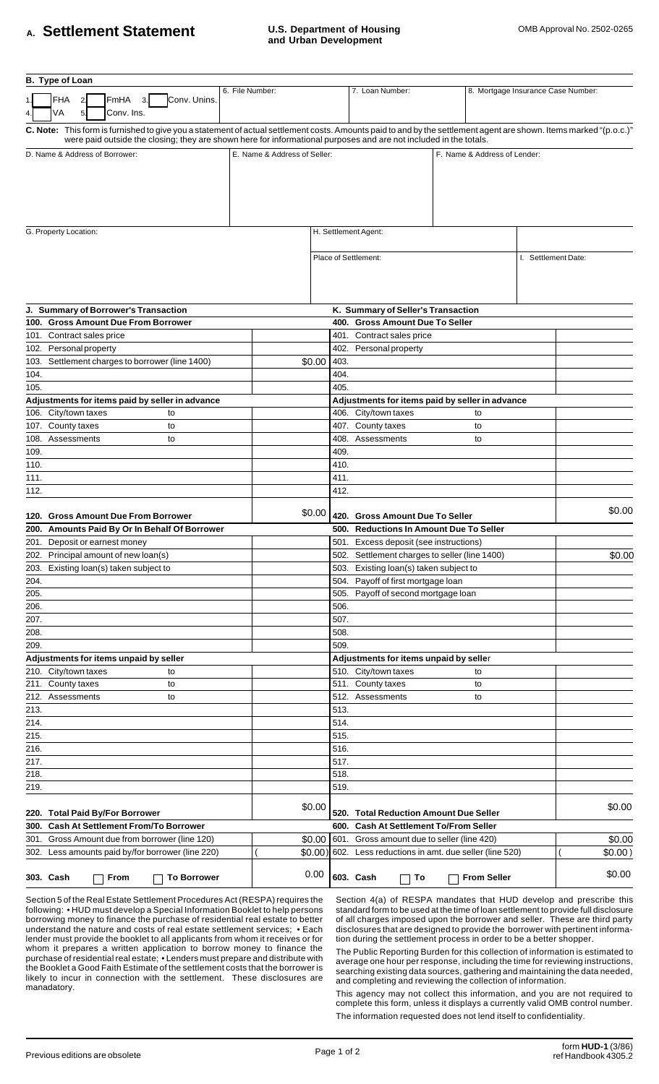## A. **Settlement Statement** U.S. Department of Housing COMB Approval No. 2502-0265

| B. Type of Loan                                                                                                                                                                                                |                              |                                        |                                                            |  |                                    |                     |         |  |
|----------------------------------------------------------------------------------------------------------------------------------------------------------------------------------------------------------------|------------------------------|----------------------------------------|------------------------------------------------------------|--|------------------------------------|---------------------|---------|--|
| <b>FHA</b><br>FmHA<br>Conv. Unins.<br>3.<br>2.                                                                                                                                                                 | 6. File Number:              |                                        | 7. Loan Number:                                            |  | 8. Mortgage Insurance Case Number: |                     |         |  |
| VA<br>Conv. Ins.<br>5 <sub>l</sub><br>4.<br>C. Note: This form is furnished to give you a statement of actual settlement costs. Amounts paid to and by the settlement agent are shown. Items marked "(p.o.c.)" |                              |                                        |                                                            |  |                                    |                     |         |  |
| were paid outside the closing; they are shown here for informational purposes and are not included in the totals.                                                                                              |                              |                                        |                                                            |  |                                    |                     |         |  |
| D. Name & Address of Borrower:                                                                                                                                                                                 | E. Name & Address of Seller: |                                        | F. Name & Address of Lender:                               |  |                                    |                     |         |  |
|                                                                                                                                                                                                                |                              |                                        |                                                            |  |                                    |                     |         |  |
|                                                                                                                                                                                                                |                              |                                        |                                                            |  |                                    |                     |         |  |
|                                                                                                                                                                                                                |                              |                                        |                                                            |  |                                    |                     |         |  |
|                                                                                                                                                                                                                |                              |                                        |                                                            |  |                                    |                     |         |  |
|                                                                                                                                                                                                                |                              |                                        |                                                            |  |                                    |                     |         |  |
| G. Property Location:                                                                                                                                                                                          |                              |                                        | H. Settlement Agent:                                       |  |                                    |                     |         |  |
|                                                                                                                                                                                                                |                              |                                        |                                                            |  |                                    |                     |         |  |
|                                                                                                                                                                                                                | Place of Settlement:         |                                        |                                                            |  |                                    | I. Settlement Date: |         |  |
|                                                                                                                                                                                                                |                              |                                        |                                                            |  |                                    |                     |         |  |
|                                                                                                                                                                                                                |                              |                                        |                                                            |  |                                    |                     |         |  |
|                                                                                                                                                                                                                |                              |                                        |                                                            |  |                                    |                     |         |  |
|                                                                                                                                                                                                                |                              |                                        |                                                            |  |                                    |                     |         |  |
| J. Summary of Borrower's Transaction                                                                                                                                                                           |                              |                                        | K. Summary of Seller's Transaction                         |  |                                    |                     |         |  |
| 100. Gross Amount Due From Borrower                                                                                                                                                                            |                              | 400. Gross Amount Due To Seller        |                                                            |  |                                    |                     |         |  |
| 101. Contract sales price                                                                                                                                                                                      |                              | 401. Contract sales price              |                                                            |  |                                    |                     |         |  |
| 102. Personal property                                                                                                                                                                                         |                              | 402.                                   | Personal property                                          |  |                                    |                     |         |  |
| Settlement charges to borrower (line 1400)<br>103.                                                                                                                                                             | \$0.00                       | 403.                                   |                                                            |  |                                    |                     |         |  |
| 104.                                                                                                                                                                                                           |                              | 404.                                   |                                                            |  |                                    |                     |         |  |
| 105.                                                                                                                                                                                                           |                              | 405.                                   |                                                            |  |                                    |                     |         |  |
| Adjustments for items paid by seller in advance                                                                                                                                                                |                              |                                        | Adjustments for items paid by seller in advance            |  |                                    |                     |         |  |
| 106. City/town taxes<br>to                                                                                                                                                                                     |                              |                                        | 406. City/town taxes                                       |  | to                                 |                     |         |  |
| 107. County taxes<br>to                                                                                                                                                                                        |                              |                                        | 407. County taxes                                          |  | to                                 |                     |         |  |
| Assessments<br>108.<br>to                                                                                                                                                                                      |                              | 408.                                   | Assessments                                                |  | to                                 |                     |         |  |
| 109.                                                                                                                                                                                                           |                              | 409.                                   |                                                            |  |                                    |                     |         |  |
| 110.                                                                                                                                                                                                           |                              | 410.                                   |                                                            |  |                                    |                     |         |  |
| 111.                                                                                                                                                                                                           |                              | 411.                                   |                                                            |  |                                    |                     |         |  |
| 112.                                                                                                                                                                                                           |                              | 412.                                   |                                                            |  |                                    |                     |         |  |
|                                                                                                                                                                                                                |                              |                                        |                                                            |  |                                    |                     |         |  |
| 120. Gross Amount Due From Borrower                                                                                                                                                                            | \$0.00                       |                                        | 420. Gross Amount Due To Seller                            |  |                                    |                     | \$0.00  |  |
| 200. Amounts Paid By Or In Behalf Of Borrower                                                                                                                                                                  |                              |                                        | 500. Reductions In Amount Due To Seller                    |  |                                    |                     |         |  |
| 201. Deposit or earnest money                                                                                                                                                                                  |                              |                                        | 501. Excess deposit (see instructions)                     |  |                                    |                     |         |  |
| 202. Principal amount of new loan(s)                                                                                                                                                                           |                              |                                        | 502. Settlement charges to seller (line 1400)              |  |                                    |                     | \$0.00  |  |
| 203. Existing loan(s) taken subject to                                                                                                                                                                         |                              |                                        | 503. Existing loan(s) taken subject to                     |  |                                    |                     |         |  |
| 204.                                                                                                                                                                                                           |                              | 504.                                   | Payoff of first mortgage loan                              |  |                                    |                     |         |  |
|                                                                                                                                                                                                                |                              |                                        |                                                            |  |                                    |                     |         |  |
| 205.                                                                                                                                                                                                           |                              | 505.                                   | Payoff of second mortgage loan                             |  |                                    |                     |         |  |
| 206.                                                                                                                                                                                                           |                              | 506.                                   |                                                            |  |                                    |                     |         |  |
| 207.                                                                                                                                                                                                           |                              | 507.                                   |                                                            |  |                                    |                     |         |  |
| 208.                                                                                                                                                                                                           |                              | 508.                                   |                                                            |  |                                    |                     |         |  |
| 209.                                                                                                                                                                                                           |                              | 509.                                   |                                                            |  |                                    |                     |         |  |
| Adjustments for items unpaid by seller                                                                                                                                                                         |                              | Adjustments for items unpaid by seller |                                                            |  |                                    |                     |         |  |
| 210. City/town taxes<br>to                                                                                                                                                                                     |                              |                                        | 510. City/town taxes                                       |  | to                                 |                     |         |  |
| 211. County taxes<br>to                                                                                                                                                                                        |                              |                                        | 511. County taxes                                          |  | to                                 |                     |         |  |
| Assessments<br>212.<br>to                                                                                                                                                                                      |                              | 512.                                   | Assessments                                                |  | to                                 |                     |         |  |
| 213.                                                                                                                                                                                                           |                              | 513.                                   |                                                            |  |                                    |                     |         |  |
| 214.                                                                                                                                                                                                           |                              | 514.                                   |                                                            |  |                                    |                     |         |  |
| 215.                                                                                                                                                                                                           |                              | 515.                                   |                                                            |  |                                    |                     |         |  |
| 216.                                                                                                                                                                                                           |                              | 516.                                   |                                                            |  |                                    |                     |         |  |
| 217.                                                                                                                                                                                                           |                              | 517.                                   |                                                            |  |                                    |                     |         |  |
| 218.                                                                                                                                                                                                           |                              | 518.                                   |                                                            |  |                                    |                     |         |  |
| 219.                                                                                                                                                                                                           |                              | 519.                                   |                                                            |  |                                    |                     |         |  |
|                                                                                                                                                                                                                |                              |                                        |                                                            |  |                                    |                     |         |  |
| 220. Total Paid By/For Borrower                                                                                                                                                                                | \$0.00                       |                                        | 520. Total Reduction Amount Due Seller                     |  |                                    |                     | \$0.00  |  |
| <b>Cash At Settlement From/To Borrower</b><br>300.                                                                                                                                                             |                              |                                        | 600. Cash At Settlement To/From Seller                     |  |                                    |                     |         |  |
| 301. Gross Amount due from borrower (line 120)                                                                                                                                                                 | \$0.00                       |                                        | 601. Gross amount due to seller (line 420)                 |  |                                    |                     | \$0.00  |  |
| 302. Less amounts paid by/for borrower (line 220)                                                                                                                                                              |                              |                                        | \$0.00) 602. Less reductions in amt. due seller (line 520) |  |                                    |                     | \$0.00) |  |
|                                                                                                                                                                                                                |                              |                                        |                                                            |  |                                    |                     |         |  |
| 303. Cash<br><b>To Borrower</b><br>From                                                                                                                                                                        | 0.00                         |                                        | 603. Cash<br>To                                            |  | <b>From Seller</b>                 |                     | \$0.00  |  |
|                                                                                                                                                                                                                |                              |                                        |                                                            |  |                                    |                     |         |  |

Section 5 of the Real Estate Settlement Procedures Act (RESPA) requires the following: • HUD must develop a Special Information Booklet to help persons borrowing money to finance the purchase of residential real estate to better understand the nature and costs of real estate settlement services; • Each lender must provide the booklet to all applicants from whom it receives or for whom it prepares a written application to borrow money to finance the purchase of residential real estate; • Lenders must prepare and distribute with the Booklet a Good Faith Estimate of the settlement costs that the borrower is likely to incur in connection with the settlement. These disclosures are manadatory.

Section 4(a) of RESPA mandates that HUD develop and prescribe this standard form to be used at the time of loan settlement to provide full disclosure of all charges imposed upon the borrower and seller. These are third party disclosures that are designed to provide the borrower with pertinent information during the settlement process in order to be a better shopper.

The Public Reporting Burden for this collection of information is estimated to average one hour per response, including the time for reviewing instructions, searching existing data sources, gathering and maintaining the data needed, and completing and reviewing the collection of information.

This agency may not collect this information, and you are not required to complete this form, unless it displays a currently valid OMB control number. The information requested does not lend itself to confidentiality.